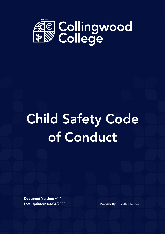

# Child Safety Code of Conduct

Document Version: V1.1 Last Updated: 03/04/2020 Review By: Judith Clelland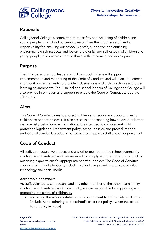

## Rationale

Collingwood College is committed to the safety and wellbeing of children and young people. Our school community recognises the importance of, and a responsibility for, ensuring our school is a safe, supportive and enriching environment which respects and fosters the dignity and self-esteem of children and young people, and enables them to thrive in their learning and development.

## Purpose

The Principal and school leaders of Collingwood College will support implementation and monitoring of the Code of Conduct, and will plan, implement and monitor arrangements to provide inclusive, safe and orderly schools and other learning environments. The Principal and school leaders of Collingwood College will also provide information and support to enable the Code of Conduct to operate effectively.

# Aims

This Code of Conduct aims to protect children and reduce any opportunities for child abuse or harm to occur. It also assists in understanding how to avoid or better manage risky behaviours and situations. It is intended to complement child protection legislation, Department policy, school policies and procedures and professional standards, codes or ethics as these apply to staff and other personnel.

# Code of Conduct

All staff, contractors, volunteers and any other member of the school community involved in child-related work are required to comply with the Code of Conduct by observing expectations for appropriate behaviour below. The Code of Conduct applies in all school situations, including school camps and in the use of digital technology and social media.

## Acceptable behaviours

As staff, volunteers, contractors, and any other member of the school community involved in child-related work individually, we are responsible for supporting and promoting the safety of children by:

• upholding the school's statement of commitment to child safety at all times [Include <and adhering to the school's child safe policy> when the school has a policy in place]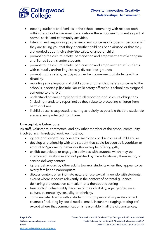

- treating students and families in the school community with respect both within the school environment and outside the school environment as part of normal social and community activities.
- listening and responding to the views and concerns of students, particularly if they are telling you that they or another child has been abused or that they are worried about their safety/the safety of another child
- promoting the cultural safety, participation and empowerment of Aboriginal and Torres Strait Islander students
- promoting the cultural safety, participation and empowerment of students with culturally and/or linguistically diverse backgrounds
- promoting the safety, participation and empowerment of students with a disability
- reporting any allegations of child abuse or other child safety concerns to the school's leadership [Include <or child safety officer's> if school has assigned someone to this role]
- understanding and complying with all reporting or disclosure obligations (including mandatory reporting) as they relate to protecting children from harm or abuse.
- if child abuse is suspected, ensuring as quickly as possible that the student(s) are safe and protected from harm.

### Unacceptable behaviours

As staff, volunteers, contractors, and any other member of the school community involved in child-related work we must not:

- ignore or disregard any concerns, suspicions or disclosures of child abuse
- develop a relationship with any student that could be seen as favouritism or amount to 'grooming' behaviour (for example, offering gifts)
- exhibit behaviours or engage in activities with students which may be interpreted as abusive and not justified by the educational, therapeutic, or service delivery context
- ignore behaviours by other adults towards students when they appear to be overly familiar or inappropriate
- discuss content of an intimate nature or use sexual innuendo with students, except where it occurs relevantly in the context of parental guidance, delivering the education curriculum or a therapeutic setting
- treat a child unfavourably because of their disability, age, gender, race, culture, vulnerability, sexuality or ethnicity.
- communicate directly with a student through personal or private contact channels (including by social media, email, instant messaging, texting etc) except where that communication is reasonable in all the circumstances,